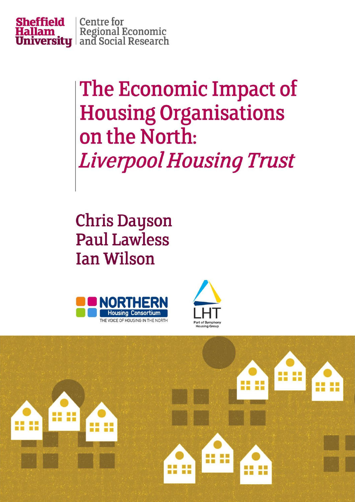

The Economic Impact of **Housing Organisations** on the North: **Liverpool Housing Trust** 

**Chris Dayson Paul Lawless Ian Wilson** 





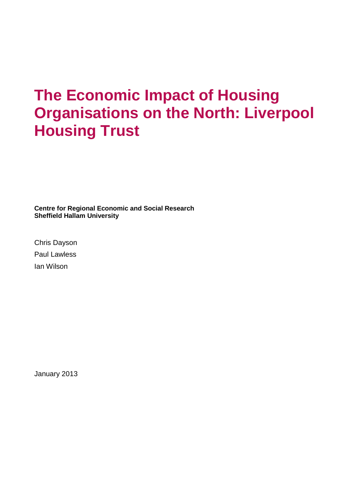## **The Economic Impact of Housing Organisations on the North: Liverpool Housing Trust**

**Centre for Regional Economic and Social Research Sheffield Hallam University**

Chris Dayson Paul Lawless Ian Wilson

January 2013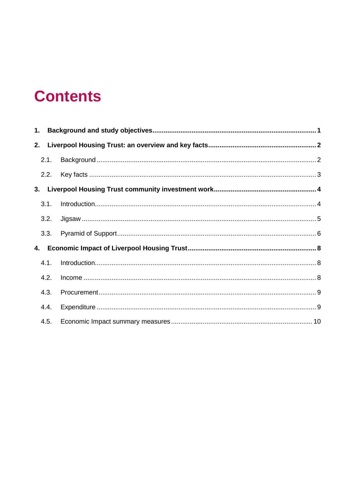## **Contents**

| 2. |      |  |
|----|------|--|
|    | 2.1. |  |
|    | 2.2. |  |
| 3. |      |  |
|    | 3.1. |  |
|    | 3.2. |  |
|    | 3.3. |  |
|    |      |  |
|    | 4.1. |  |
|    | 4.2. |  |
|    | 4.3. |  |
|    | 4.4. |  |
|    | 4.5. |  |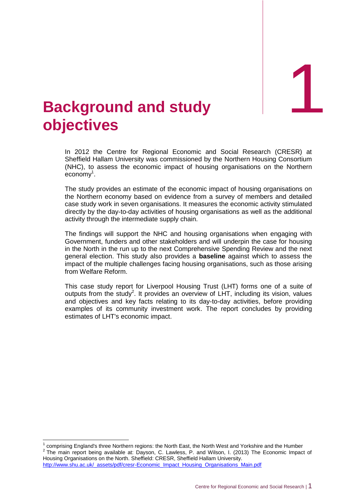1

## <span id="page-3-0"></span>1. **Background and study objectives**

In 2012 the Centre for Regional Economic and Social Research (CRESR) at Sheffield Hallam University was commissioned by the Northern Housing Consortium (NHC), to assess the economic impact of housing organisations on the Northern economy 1 .

The study provides an estimate of the economic impact of housing organisations on the Northern economy based on evidence from a survey of members and detailed case study work in seven organisations. It measures the economic activity stimulated directly by the day-to-day activities of housing organisations as well as the additional activity through the intermediate supply chain.

The findings will support the NHC and housing organisations when engaging with Government, funders and other stakeholders and will underpin the case for housing in the North in the run up to the next Comprehensive Spending Review and the next general election. This study also provides a **baseline** against which to assess the impact of the multiple challenges facing housing organisations, such as those arising from Welfare Reform.

This case study report for Liverpool Housing Trust (LHT) forms one of a suite of outputs from the study<sup>2</sup>. It provides an overview of LHT, including its vision, values and objectives and key facts relating to its day-to-day activities, before providing examples of its community investment work. The report concludes by providing estimates of LHT's economic impact.

http://www.shu.ac.uk/\_assets/pdf/cresr-Economic\_Impact\_Housing\_Organisations\_Main.pdf

 $\overline{1}$ 

<sup>1</sup> comprising England's three Northern regions: the North East, the North West and Yorkshire and the Humber  $2$  The main report being available at: Dayson, C. Lawless, P. and Wilson, I. (2013) The Economic Impact of Housing Organisations on the North. Sheffield: CRESR, Sheffield Hallam University.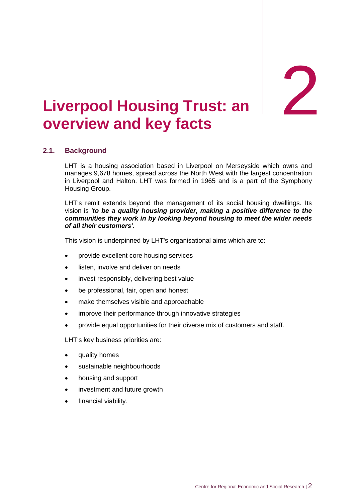**Trust: an** 2

## <span id="page-4-0"></span>**Liverpool Housing Trust: an overview and key facts**

### <span id="page-4-1"></span>**2.1. Background**

LHT is a housing association based in Liverpool on Merseyside which owns and manages 9,678 homes, spread across the North West with the largest concentration in Liverpool and Halton. LHT was formed in 1965 and is a part of the Symphony Housing Group.

LHT's remit extends beyond the management of its social housing dwellings. Its vision is *'to be a quality housing provider, making a positive difference to the communities they work in by looking beyond housing to meet the wider needs of all their customers'.*

This vision is underpinned by LHT's organisational aims which are to:

- provide excellent core housing services
- listen, involve and deliver on needs
- invest responsibly, delivering best value
- be professional, fair, open and honest
- make themselves visible and approachable
- improve their performance through innovative strategies
- provide equal opportunities for their diverse mix of customers and staff.

LHT's key business priorities are:

- quality homes
- sustainable neighbourhoods
- housing and support
- investment and future growth
- financial viability.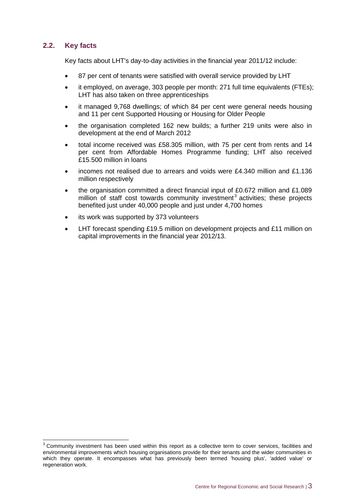### <span id="page-5-0"></span>**2.2. Key facts**

 $\overline{a}$ 

Key facts about LHT's day-to-day activities in the financial year 2011/12 include:

- 87 per cent of tenants were satisfied with overall service provided by LHT
- it employed, on average, 303 people per month: 271 full time equivalents (FTEs); LHT has also taken on three apprenticeships
- it managed 9,768 dwellings; of which 84 per cent were general needs housing and 11 per cent Supported Housing or Housing for Older People
- the organisation completed 162 new builds; a further 219 units were also in development at the end of March 2012
- total income received was £58.305 million, with 75 per cent from rents and 14 per cent from Affordable Homes Programme funding; LHT also received £15.500 million in loans
- incomes not realised due to arrears and voids were £4.340 million and £1.136 million respectively
- the organisation committed a direct financial input of £0.672 million and £1.089 million of staff cost towards community investment<sup>3</sup> activities; these projects benefited just under 40,000 people and just under 4,700 homes
- its work was supported by 373 volunteers
- LHT forecast spending £19.5 million on development projects and £11 million on capital improvements in the financial year 2012/13.

 $3$  Community investment has been used within this report as a collective term to cover services, facilities and environmental improvements which housing organisations provide for their tenants and the wider communities in which they operate. It encompasses what has previously been termed 'housing plus', 'added value' or regeneration work.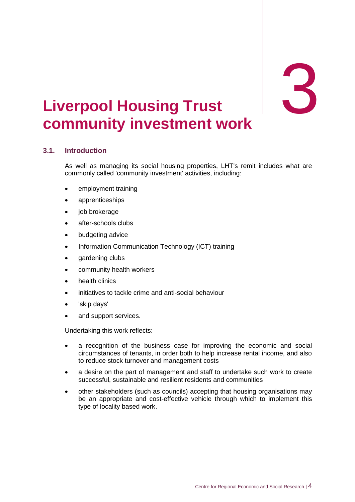# <span id="page-6-0"></span>3. **Liverpool community investment work Housing Trust** 3

## <span id="page-6-1"></span>**3.1. Introduction**

As well as managing its social housing properties, LHT's remit includes what are commonly called 'community investment' activities, including:

- employment training
- apprenticeships
- job brokerage
- after-schools clubs
- budgeting advice
- Information Communication Technology (ICT) training
- gardening clubs
- community health workers
- health clinics
- initiatives to tackle crime and anti-social behaviour
- 'skip days'
- and support services.

Undertaking this work reflects:

- a recognition of the business case for improving the economic and social circumstances of tenants, in order both to help increase rental income, and also to reduce stock turnover and management costs
- a desire on the part of management and staff to undertake such work to create successful, sustainable and resilient residents and communities
- other stakeholders (such as councils) accepting that housing organisations may be an appropriate and cost-effective vehicle through which to implement this type of locality based work.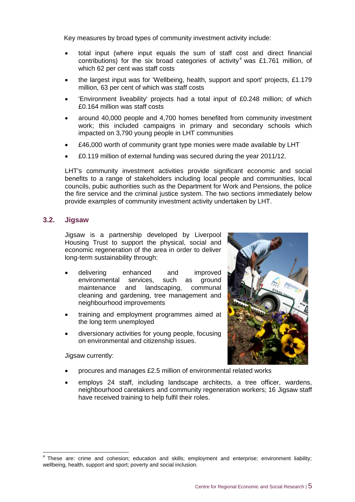Key measures by broad types of community investment activity include:

- total input (where input equals the sum of staff cost and direct financial contributions) for the six broad categories of activity<sup>4</sup> was £1.761 million, of which 62 per cent was staff costs
- the largest input was for 'Wellbeing, health, support and sport' projects, £1.179 million, 63 per cent of which was staff costs
- 'Environment liveability' projects had a total input of £0.248 million; of which £0.164 million was staff costs
- around 40,000 people and 4,700 homes benefited from community investment work; this included campaigns in primary and secondary schools which impacted on 3,790 young people in LHT communities
- £46,000 worth of community grant type monies were made available by LHT
- £0.119 million of external funding was secured during the year 2011/12.

LHT's community investment activities provide significant economic and social benefits to a range of stakeholders including local people and communities, local councils, pubic authorities such as the Department for Work and Pensions, the police the fire service and the criminal justice system. The two sections immediately below provide examples of community investment activity undertaken by LHT.

#### <span id="page-7-0"></span>**3.2. Jigsaw**

Jigsaw is a partnership developed by Liverpool Housing Trust to support the physical, social and economic regeneration of the area in order to deliver long-term sustainability through:

- delivering enhanced and improved environmental services, such as ground maintenance and landscaping, communal cleaning and gardening, tree management and neighbourhood improvements
- training and employment programmes aimed at the long term unemployed
- diversionary activities for young people, focusing on environmental and citizenship issues.

Jigsaw currently:

- procures and manages £2.5 million of environmental related works
- employs 24 staff, including landscape architects, a tree officer, wardens, neighbourhood caretakers and community regeneration workers; 16 Jigsaw staff have received training to help fulfil their roles.

 4 These are: crime and cohesion; education and skills; employment and enterprise; environment liability; wellbeing, health, support and sport; poverty and social inclusion.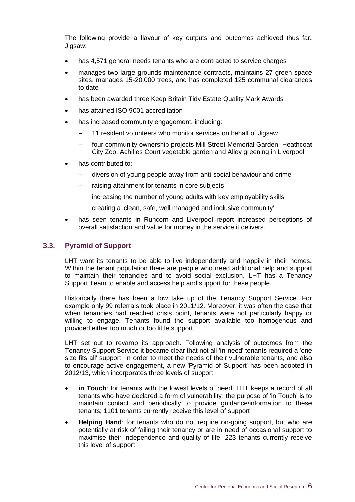The following provide a flavour of key outputs and outcomes achieved thus far. Jigsaw:

- has 4,571 general needs tenants who are contracted to service charges
- manages two large grounds maintenance contracts, maintains 27 green space sites, manages 15-20,000 trees, and has completed 125 communal clearances to date
- has been awarded three Keep Britain Tidy Estate Quality Mark Awards
- has attained ISO 9001 accreditation
- has increased community engagement, including:
	- 11 resident volunteers who monitor services on behalf of Jigsaw
	- four community ownership projects Mill Street Memorial Garden, Heathcoat City Zoo, Achilles Court vegetable garden and Alley greening in Liverpool
- has contributed to:
	- diversion of young people away from anti-social behaviour and crime
	- raising attainment for tenants in core subjects
	- increasing the number of young adults with key employability skills
	- creating a 'clean, safe, well managed and inclusive community'
- has seen tenants in Runcorn and Liverpool report increased perceptions of overall satisfaction and value for money in the service it delivers.

#### <span id="page-8-0"></span>**3.3. Pyramid of Support**

LHT want its tenants to be able to live independently and happily in their homes. Within the tenant population there are people who need additional help and support to maintain their tenancies and to avoid social exclusion. LHT has a Tenancy Support Team to enable and access help and support for these people.

Historically there has been a low take up of the Tenancy Support Service. For example only 99 referrals took place in 2011/12. Moreover, it was often the case that when tenancies had reached crisis point, tenants were not particularly happy or willing to engage. Tenants found the support available too homogenous and provided either too much or too little support.

LHT set out to revamp its approach. Following analysis of outcomes from the Tenancy Support Service it became clear that not all 'in-need' tenants required a 'one size fits all' support. In order to meet the needs of their vulnerable tenants, and also to encourage active engagement, a new 'Pyramid of Support' has been adopted in 2012/13, which incorporates three levels of support:

- **in Touch**: for tenants with the lowest levels of need; LHT keeps a record of all tenants who have declared a form of vulnerability; the purpose of 'in Touch' is to maintain contact and periodically to provide guidance/information to these tenants; 1101 tenants currently receive this level of support
- **Helping Hand**: for tenants who do not require on-going support, but who are potentially at risk of failing their tenancy or are in need of occasional support to maximise their independence and quality of life; 223 tenants currently receive this level of support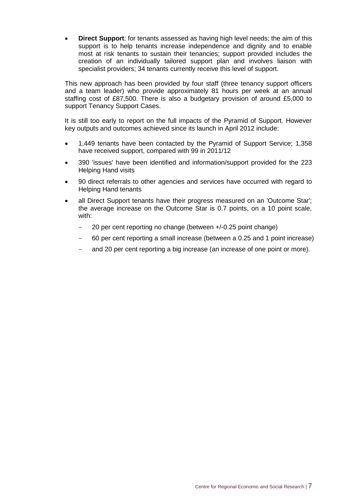**Direct Support**: for tenants assessed as having high level needs; the aim of this support is to help tenants increase independence and dignity and to enable most at risk tenants to sustain their tenancies; support provided includes the creation of an individually tailored support plan and involves liaison with specialist providers; 34 tenants currently receive this level of support.

This new approach has been provided by four staff (three tenancy support officers and a team leader) who provide approximately 81 hours per week at an annual staffing cost of £87,500. There is also a budgetary provision of around £5,000 to support Tenancy Support Cases.

It is still too early to report on the full impacts of the Pyramid of Support. However key outputs and outcomes achieved since its launch in April 2012 include:

- 1,449 tenants have been contacted by the Pyramid of Support Service; 1,358 have received support, compared with 99 in 2011/12
- 390 'issues' have been identified and information/support provided for the 223 Helping Hand visits
- 90 direct referrals to other agencies and services have occurred with regard to Helping Hand tenants
- all Direct Support tenants have their progress measured on an 'Outcome Star'; the average increase on the Outcome Star is 0.7 points, on a 10 point scale, with:
	- 20 per cent reporting no change (between +/-0.25 point change)
	- 60 per cent reporting a small increase (between a 0.25 and 1 point increase)
	- and 20 per cent reporting a big increase (an increase of one point or more).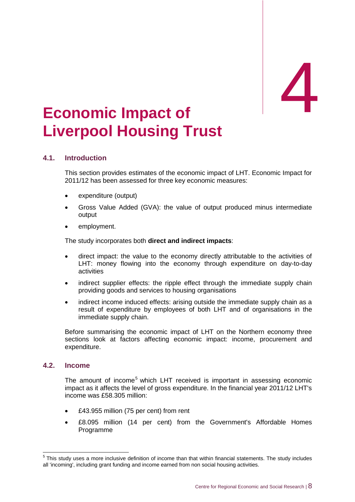# <span id="page-10-0"></span>Economic Impact of **Liverpool Housing Trust**

#### <span id="page-10-1"></span>**4.1. Introduction**

This section provides estimates of the economic impact of LHT. Economic Impact for 2011/12 has been assessed for three key economic measures:

- expenditure (output)
- Gross Value Added (GVA): the value of output produced minus intermediate output
- employment.

The study incorporates both **direct and indirect impacts**:

- direct impact: the value to the economy directly attributable to the activities of LHT: money flowing into the economy through expenditure on day-to-day activities
- indirect supplier effects: the ripple effect through the immediate supply chain providing goods and services to housing organisations
- indirect income induced effects: arising outside the immediate supply chain as a result of expenditure by employees of both LHT and of organisations in the immediate supply chain.

Before summarising the economic impact of LHT on the Northern economy three sections look at factors affecting economic impact: income, procurement and expenditure.

#### <span id="page-10-2"></span>**4.2. Income**

The amount of income<sup>5</sup> which LHT received is important in assessing economic impact as it affects the level of gross expenditure. In the financial year 2011/12 LHT's income was £58.305 million:

- £43.955 million (75 per cent) from rent
- £8.095 million (14 per cent) from the Government's Affordable Homes Programme

 5 This study uses a more inclusive definition of income than that within financial statements. The study includes all 'incoming', including grant funding and income earned from non social housing activities.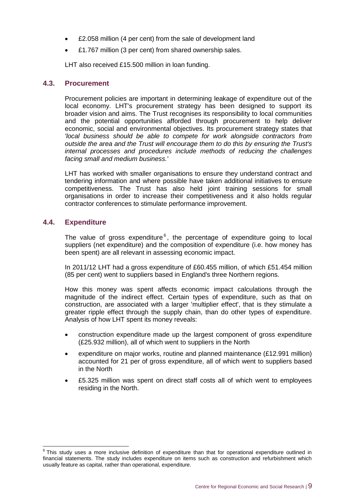- £2.058 million (4 per cent) from the sale of development land
- £1.767 million (3 per cent) from shared ownership sales.

LHT also received £15.500 million in loan funding.

#### <span id="page-11-0"></span>**4.3. Procurement**

Procurement policies are important in determining leakage of expenditure out of the local economy. LHT's procurement strategy has been designed to support its broader vision and aims. The Trust recognises its responsibility to local communities and the potential opportunities afforded through procurement to help deliver economic, social and environmental objectives. Its procurement strategy states that *'local business should be able to compete for work alongside contractors from outside the area and the Trust will encourage them to do this by ensuring the Trust's internal processes and procedures include methods of reducing the challenges facing small and medium business.'*

LHT has worked with smaller organisations to ensure they understand contract and tendering information and where possible have taken additional initiatives to ensure competitiveness. The Trust has also held joint training sessions for small organisations in order to increase their competitiveness and it also holds regular contractor conferences to stimulate performance improvement.

#### <span id="page-11-1"></span>**4.4. Expenditure**

The value of gross expenditure $<sup>6</sup>$ , the percentage of expenditure going to local</sup> suppliers (net expenditure) and the composition of expenditure (i.e. how money has been spent) are all relevant in assessing economic impact.

In 2011/12 LHT had a gross expenditure of £60.455 million, of which £51.454 million (85 per cent) went to suppliers based in England's three Northern regions.

How this money was spent affects economic impact calculations through the magnitude of the indirect effect. Certain types of expenditure, such as that on construction, are associated with a larger 'multiplier effect', that is they stimulate a greater ripple effect through the supply chain, than do other types of expenditure. Analysis of how LHT spent its money reveals:

- construction expenditure made up the largest component of gross expenditure (£25.932 million), all of which went to suppliers in the North
- expenditure on major works, routine and planned maintenance (£12.991 million) accounted for 21 per of gross expenditure, all of which went to suppliers based in the North
- £5.325 million was spent on direct staff costs all of which went to employees residing in the North.

 6 This study uses a more inclusive definition of expenditure than that for operational expenditure outlined in financial statements. The study includes expenditure on items such as construction and refurbishment which usually feature as capital, rather than operational, expenditure.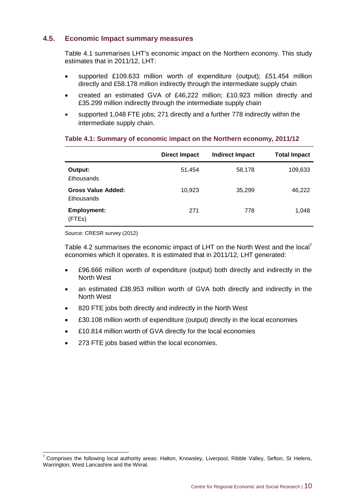#### <span id="page-12-0"></span>**4.5. Economic Impact summary measures**

Table 4.1 summarises LHT's economic impact on the Northern economy. This study estimates that in 2011/12, LHT:

- supported £109.633 million worth of expenditure (output); £51.454 million directly and £58.178 million indirectly through the intermediate supply chain
- created an estimated GVA of £46,222 million; £10.923 million directly and £35.299 million indirectly through the intermediate supply chain
- supported 1,048 FTE jobs; 271 directly and a further 778 indirectly within the intermediate supply chain.

#### **Table 4.1: Summary of economic impact on the Northern economy, 2011/12**

|                                                | <b>Direct Impact</b> | <b>Indirect Impact</b> | <b>Total Impact</b> |
|------------------------------------------------|----------------------|------------------------|---------------------|
| Output:<br><b>£thousands</b>                   | 51,454               | 58,178                 | 109,633             |
| <b>Gross Value Added:</b><br><b>£thousands</b> | 10,923               | 35,299                 | 46,222              |
| <b>Employment:</b><br>(FTEs)                   | 271                  | 778                    | 1,048               |

Source: CRESR survey (2012)

-

Table 4.2 summarises the economic impact of LHT on the North West and the local<sup>7</sup> economies which it operates. It is estimated that in 2011/12, LHT generated:

- £96.666 million worth of expenditure (output) both directly and indirectly in the North West
- an estimated £38.953 million worth of GVA both directly and indirectly in the North West
- 820 FTE jobs both directly and indirectly in the North West
- £30.108 million worth of expenditure (output) directly in the local economies
- £10.814 million worth of GVA directly for the local economies
- 273 FTE jobs based within the local economies.

 $7$  Comprises the following local authority areas: Halton, Knowsley, Liverpool, Ribble Valley, Sefton, St Helens, Warrington, West Lancashire and the Wirral.